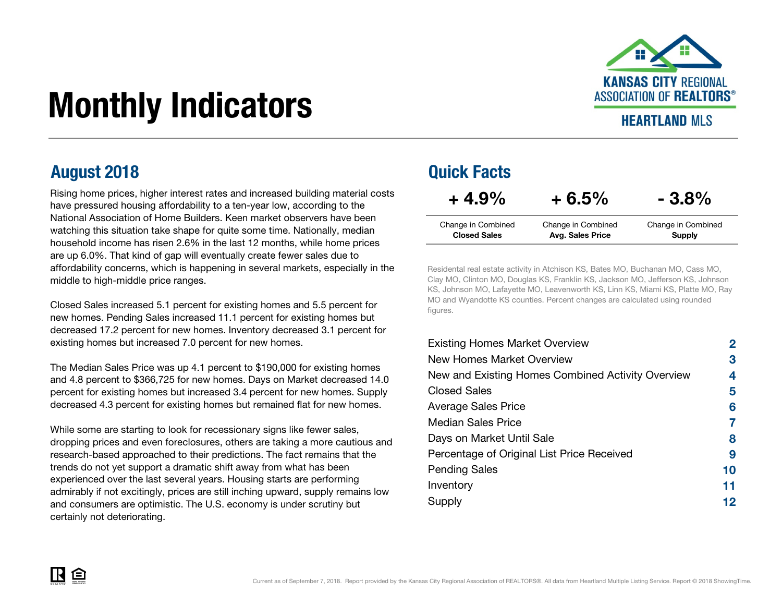

**HEARTLAND MIS** 

# Monthly Indicators

### August 2018 Quick Facts

Rising home prices, higher interest rates and increased building material costs have pressured housing affordability to a ten-year low, according to the National Association of Home Builders. Keen market observers have been watching this situation take shape for quite some time. Nationally, median household income has risen 2.6% in the last 12 months, while home prices are up 6.0%. That kind of gap will eventually create fewer sales due to affordability concerns, which is happening in several markets, especially in the middle to high-middle price ranges.

Closed Sales increased 5.1 percent for existing homes and 5.5 percent for new homes. Pending Sales increased 11.1 percent for existing homes but decreased 17.2 percent for new homes. Inventory decreased 3.1 percent for existing homes but increased 7.0 percent for new homes.

The Median Sales Price was up 4.1 percent to \$190,000 for existing homes and 4.8 percent to \$366,725 for new homes. Days on Market decreased 14.0 percent for existing homes but increased 3.4 percent for new homes. Supply decreased 4.3 percent for existing homes but remained flat for new homes.

While some are starting to look for recessionary signs like fewer sales, dropping prices and even foreclosures, others are taking a more cautious and research-based approached to their predictions. The fact remains that the trends do not yet support a dramatic shift away from what has been experienced over the last several years. Housing starts are performing admirably if not excitingly, prices are still inching upward, supply remains low and consumers are optimistic. The U.S. economy is under scrutiny but certainly not deteriorating.

| $+4.9\%$            | $+6.5%$                 | $-3.8%$            |
|---------------------|-------------------------|--------------------|
| Change in Combined  | Change in Combined      | Change in Combined |
| <b>Closed Sales</b> | <b>Avg. Sales Price</b> | <b>Supply</b>      |

Residental real estate activity in Atchison KS, Bates MO, Buchanan MO, Cass MO, Clay MO, Clinton MO, Douglas KS, Franklin KS, Jackson MO, Jefferson KS, Johnson KS, Johnson MO, Lafayette MO, Leavenworth KS, Linn KS, Miami KS, Platte MO, Ray MO and Wyandotte KS counties. Percent changes are calculated using rounded figures.

| <b>Existing Homes Market Overview</b>             | 2  |
|---------------------------------------------------|----|
| New Homes Market Overview                         | 3  |
| New and Existing Homes Combined Activity Overview | 4  |
| <b>Closed Sales</b>                               | 5  |
| <b>Average Sales Price</b>                        | 6  |
| <b>Median Sales Price</b>                         |    |
| Days on Market Until Sale                         | 8  |
| Percentage of Original List Price Received        | 9  |
| <b>Pending Sales</b>                              | 10 |
| Inventory                                         | 11 |
| Supply                                            | 12 |
|                                                   |    |

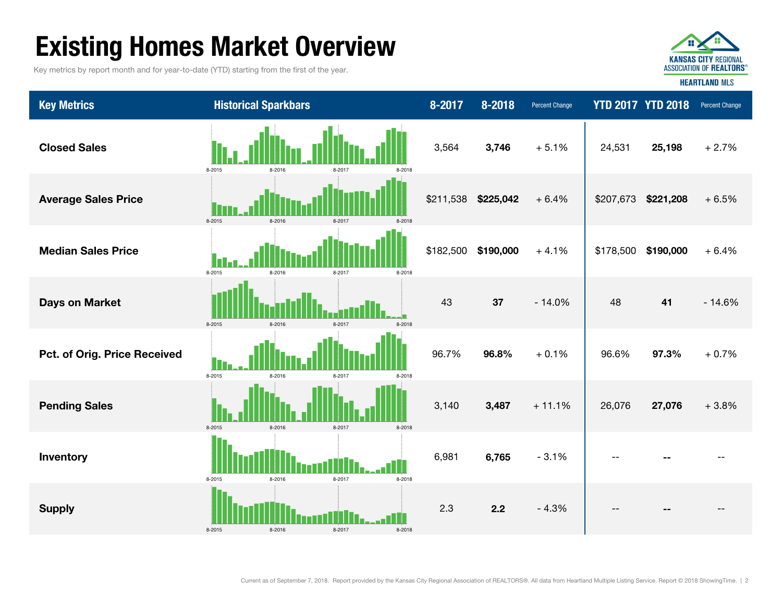# Existing Homes Market Overview

Key metrics by report month and for year-to-date (YTD) starting from the first of the year.



Key Metrics **Examples The Search Change 19 and Sparkbars** 8-2017 8-2017 8-2018 Percent Change **YTD 2017 YTD 2018** Percent Change Closed Sales 3,564 3,746 + 5.1% 25,198 + 2.7% Average Sales Price **12.1208 12.208 12.208 12.208 12.208 12.208 12.208 12.208 12.208 12.208 12.208 12.208 12.208 12.208 12.208 12.208 12.208 12.208 12.208 12.208 12.208 12.208 1** 24,531 + 6.4%Days on Market 43 37 - 14.0% 48 41 - 14.6% Median Sales Price $$182,500$   $$190,000$   $+4.1\%$   $$178,500$  \$190,000 + 0.7%Pending Sales 3,140 3,487 + 11.1% 26,076 27,076 + 3.8% **Pct. of Orig. Price Received**  $\begin{array}{c|c|c|c|c|c} \hline \end{array}$  **.**  $\begin{array}{c|c|c|c|c} \hline \end{array}$  **11.**  $\begin{array}{c|c|c|c|c} \hline \end{array}$  **96.7% 96.8% + 0.1% 96.6% 97.3%** --Supply 2.3 2.2 - 4.3% -- -- -- Inventory 6,981 6,765 - 3.1% -- -- 8-2015 8-2016 8-2017 8-2018  $8.2015$  8-2016 8-2017 8-2018 8-2015 8-2016 8-2017 8-2018 8-2015 8-2016 8-2017 8-2018 8-2015 8-2016 8-2017 8-2018 8-2015 8-2016 8-2017 8-2018 8-2015 8-2016 8-2017 8-2018 8-20158-2016 8-2017 8-2018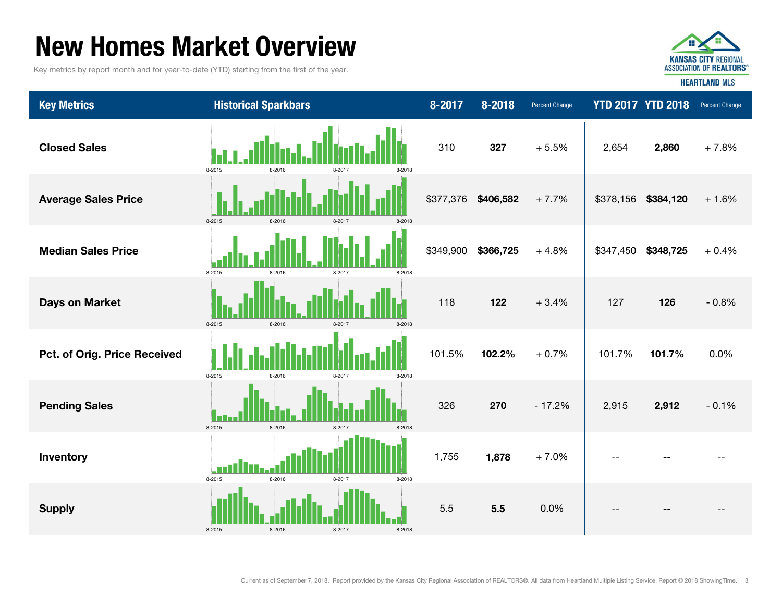## New Homes Market Overview

Key metrics by report month and for year-to-date (YTD) starting from the first of the year.



**HEARTLAND MLS** 

Key Metrics **Examples The Search Change 19 and Sparkbars** 8-2017 8-2017 8-2018 Percent Change **YTD 2017 YTD 2018** Percent Change Supply 5.5 5.5 0.0% -- -- -- - 0.1%Inventory 1,755 1,878 + 7.0% -- -- -- **Pending Sales 326 270 - 17.2% 2.915 2.912** 101.7% 0.0% Days on Market **128 126 128** 126 **Pct. of Orig. Price Received 101.7% 102.2% + 0.7% 101.7% 101.7% 102.2% + 0.7% 101.7%**  $$347,450$   $$348,725$   $+0.4\%$ - 0.8%Median Sales Price $$349,900$   $$366,725$   $+4.8\%$ **2.860**  $+7.8\%$ Average Sales Price **1. In the state of the state of the state of the state of the state of the state of the state of the state of the state of the state of the state of the state of the state of the state of the state of** 2,654 Closed Sales 310 327 + 5.5% 8-2015 8-2016 8-2017 8-2018 8-2015 8-2016 8-2017 8-2018 8-2015 8-2016 8-2017 8-2018 8-2015 8-2016 8-2017 8-2018 8-2015 8-2016 8-2017 8-2018 8-2015 8-2016 8-2017 8-2018 8-2015 8-2016 8-2017 8-2018 8-20158-2016 8-2017 8-2018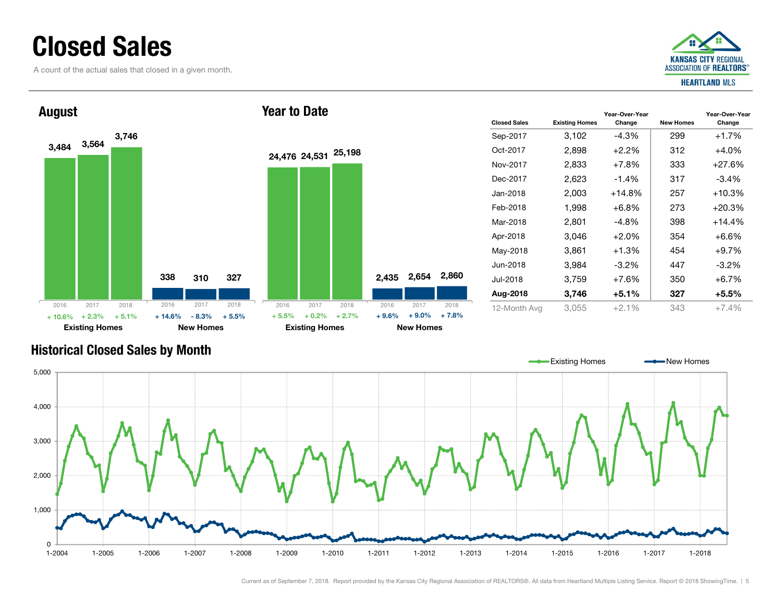### Closed Sales

A count of the actual sales that closed in a given month.



Year-Over-Year Change



| <b>Historical Closed Sales by Month</b> |  |  |  |  |
|-----------------------------------------|--|--|--|--|
|-----------------------------------------|--|--|--|--|

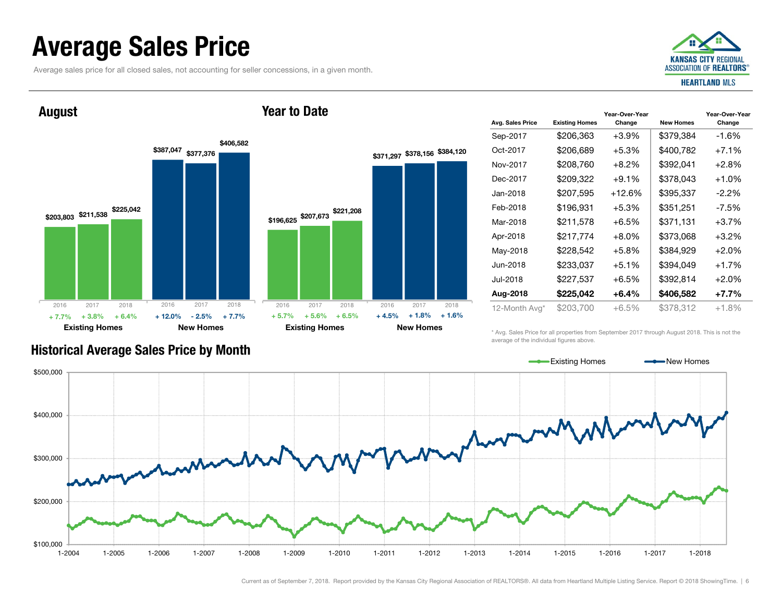### Average Sales Price

Average sales price for all closed sales, not accounting for seller concessions, in a given month.



August

#### Year to Date



| Avg. Sales Price | <b>Existing Homes</b> | Year-Over-Year<br>Change | <b>New Homes</b> | Year-Over-Year<br>Change |
|------------------|-----------------------|--------------------------|------------------|--------------------------|
| Sep-2017         | \$206.363             | $+3.9%$                  | \$379,384        | -1.6%                    |
| Oct-2017         | \$206,689             | $+5.3%$                  | \$400,782        | $+7.1%$                  |
| Nov-2017         | \$208,760             | $+8.2\%$                 | \$392,041        | $+2.8%$                  |
| Dec-2017         | \$209,322             | $+9.1%$                  | \$378,043        | $+1.0\%$                 |
| Jan-2018         | \$207,595             | $+12.6%$                 | \$395,337        | $-2.2\%$                 |
| Feb-2018         | \$196,931             | $+5.3%$                  | \$351,251        | $-7.5\%$                 |
| Mar-2018         | \$211,578             | $+6.5%$                  | \$371,131        | $+3.7%$                  |
| Apr-2018         | \$217,774             | $+8.0\%$                 | \$373,068        | $+3.2%$                  |
| May-2018         | \$228,542             | $+5.8\%$                 | \$384,929        | $+2.0\%$                 |
| Jun-2018         | \$233,037             | $+5.1%$                  | \$394,049        | $+1.7%$                  |
| Jul-2018         | \$227,537             | $+6.5%$                  | \$392,814        | $+2.0%$                  |
| Aug-2018         | \$225,042             | +6.4%                    | \$406,582        | +7.7%                    |
| 12-Month Avg*    | \$203,700             | $+6.5%$                  | \$378,312        | $+1.8%$                  |

\* Avg. Sales Price for all properties from September 2017 through August 2018. This is not the average of the individual figures above.



Historical Average Sales Price by Month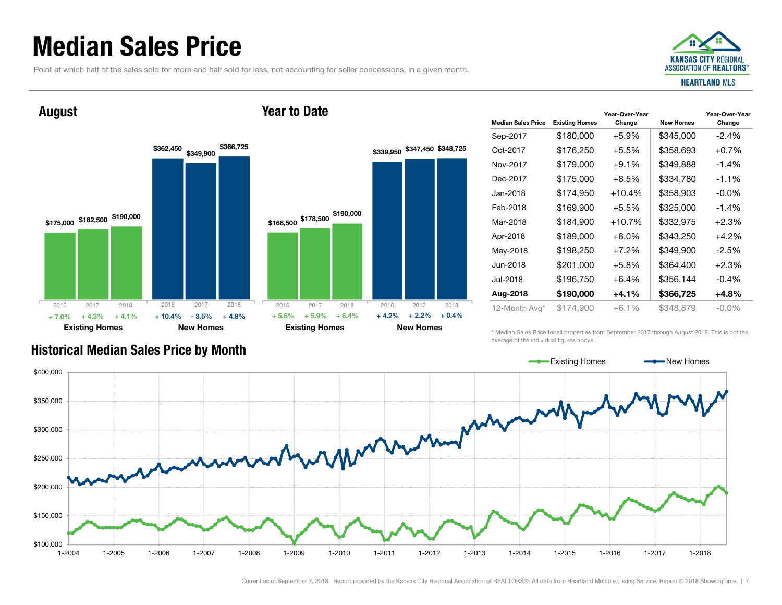### Median Sales Price

August

Point at which half of the sales sold for more and half sold for less, not accounting for seller concessions, in a given month.





| <b>Year to Date</b> |
|---------------------|
|---------------------|



| <b>Median Sales Price</b> | <b>Existing Homes</b> | Year-Over-Year<br>Change | <b>New Homes</b> | Year-Over-Year<br>Change |
|---------------------------|-----------------------|--------------------------|------------------|--------------------------|
| Sep-2017                  | \$180,000             | +5.9%                    | \$345,000        | $-2.4%$                  |
| Oct-2017                  | \$176,250             | +5.5%                    | \$358,693        | $+0.7%$                  |
| Nov-2017                  | \$179,000             | $+9.1%$                  | \$349,888        | $-1.4\%$                 |
| Dec-2017                  | \$175,000             | +8.5%                    | \$334,780        | $-1.1%$                  |
| Jan-2018                  | \$174,950             | $+10.4%$                 | \$358,903        | $-0.0\%$                 |
| Feb-2018                  | \$169,900             | +5.5%                    | \$325,000        | $-1.4\%$                 |
| Mar-2018                  | \$184,900             | $+10.7%$                 | \$332,975        | $+2.3%$                  |
| Apr-2018                  | \$189,000             | $+8.0\%$                 | \$343,250        | $+4.2%$                  |
| May-2018                  | \$198,250             | $+7.2\%$                 | \$349,900        | $-2.5%$                  |
| Jun-2018                  | \$201,000             | +5.8%                    | \$364,400        | $+2.3%$                  |
| Jul-2018                  | \$196,750             | +6.4%                    | \$356,144        | $-0.4%$                  |
| Aug-2018                  | \$190,000             | +4.1%                    | \$366,725        | +4.8%                    |
| 12-Month Avg*             | \$174,900             | $+6.1%$                  | \$348,879        | $-0.0\%$                 |

\* Median Sales Price for all properties from September 2017 through August 2018. This is not the average of the individual figures above.



#### Historical Median Sales Price by Month

Current as of September 7, 2018. Report provided by the Kansas City Regional Association of REALTORS®. All data from Heartland Multiple Listing Service. Report © 2018 ShowingTime. | 7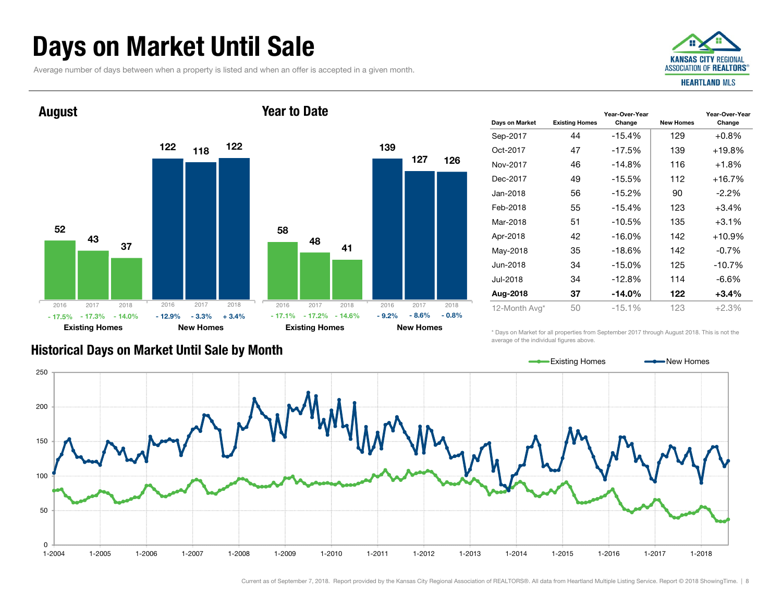# Days on Market Until Sale

Average number of days between when a property is listed and when an offer is accepted in a given month.





| Days on Market | <b>Existing Homes</b> | Year-Over-Year<br><b>New Homes</b><br>Change |     | Year-Over-Year<br>Change |
|----------------|-----------------------|----------------------------------------------|-----|--------------------------|
| Sep-2017       | 44                    | $-15.4%$                                     | 129 | $+0.8%$                  |
| Oct-2017       | 47                    | $-17.5%$                                     | 139 | $+19.8\%$                |
| Nov-2017       | 46                    | $-14.8%$                                     | 116 | $+1.8%$                  |
| Dec-2017       | 49                    | $-15.5%$                                     | 112 | $+16.7%$                 |
| Jan-2018       | 56                    | $-15.2%$                                     | 90  | $-2.2\%$                 |
| Feb-2018       | 55                    | $-15.4%$                                     | 123 | $+3.4%$                  |
| Mar-2018       | 51                    | $-10.5%$                                     | 135 | $+3.1%$                  |
| Apr-2018       | 42                    | $-16.0\%$                                    | 142 | $+10.9%$                 |
| May-2018       | 35                    | $-18.6%$                                     | 142 | $-0.7%$                  |
| Jun-2018       | 34                    | $-15.0\%$                                    | 125 | $-10.7%$                 |
| Jul-2018       | 34                    | $-12.8%$                                     | 114 | $-6.6\%$                 |
| Aug-2018       | 37                    | $-14.0\%$                                    | 122 | $+3.4\%$                 |
| 12-Month Avg*  | 50                    | $-15.1%$                                     | 123 | $+2.3%$                  |

\* Days on Market for all properties from September 2017 through August 2018. This is not the average of the individual figures above.



#### August

#### Year to Date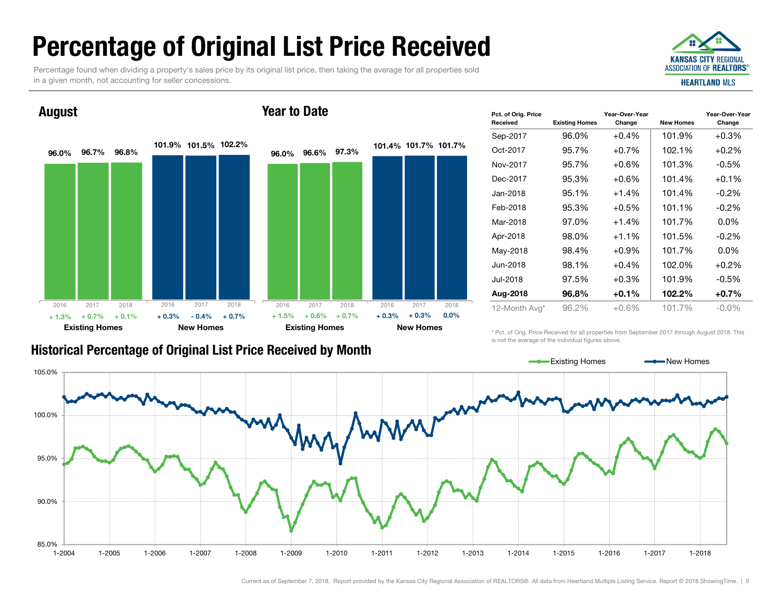# Percentage of Original List Price Received

Percentage found when dividing a property's sales price by its original list price, then taking the average for all properties sold in a given month, not accounting for seller concessions.



#### August

#### Year to Date



#### Historical Percentage of Original List Price Received by Mont h

| Pct. of Orig. Price<br>Received | <b>Existing Homes</b> | Year-Over-Year<br>Change | <b>New Homes</b> | Year-Over-Year<br>Change |
|---------------------------------|-----------------------|--------------------------|------------------|--------------------------|
| Sep-2017                        | 96.0%                 | $+0.4%$                  | 101.9%           | $+0.3%$                  |
| Oct-2017                        | 95.7%                 | $+0.7%$                  | 102.1%           | $+0.2%$                  |
| Nov-2017                        | 95.7%                 | $+0.6%$                  | 101.3%           | $-0.5\%$                 |
| Dec-2017                        | 95.3%                 | $+0.6%$                  | 101.4%           | $+0.1%$                  |
| Jan-2018                        | 95.1%                 | $+1.4%$                  | 101.4%           | $-0.2\%$                 |
| Feb-2018                        | 95.3%                 | $+0.5%$                  | 101.1%           | $-0.2\%$                 |
| Mar-2018                        | 97.0%                 | $+1.4%$                  | 101.7%           | $0.0\%$                  |
| Apr-2018                        | 98.0%                 | $+1.1%$                  | 101.5%           | $-0.2\%$                 |
| May-2018                        | 98.4%                 | $+0.9%$                  | 101.7%           | $0.0\%$                  |
| Jun-2018                        | 98.1%                 | $+0.4%$                  | 102.0%           | $+0.2%$                  |
| Jul-2018                        | 97.5%                 | $+0.3%$                  | 101.9%           | $-0.5%$                  |
| Aug-2018                        | 96.8%                 | $+0.1%$                  | 102.2%           | $+0.7%$                  |
| 12-Month Avg*                   | 96.2%                 | $+0.6\%$                 | 101.7%           | $-0.0\%$                 |

\* Pct. of Orig. Price Received for all properties from September 2017 through August 2018. This is not the average of the individual figures above.

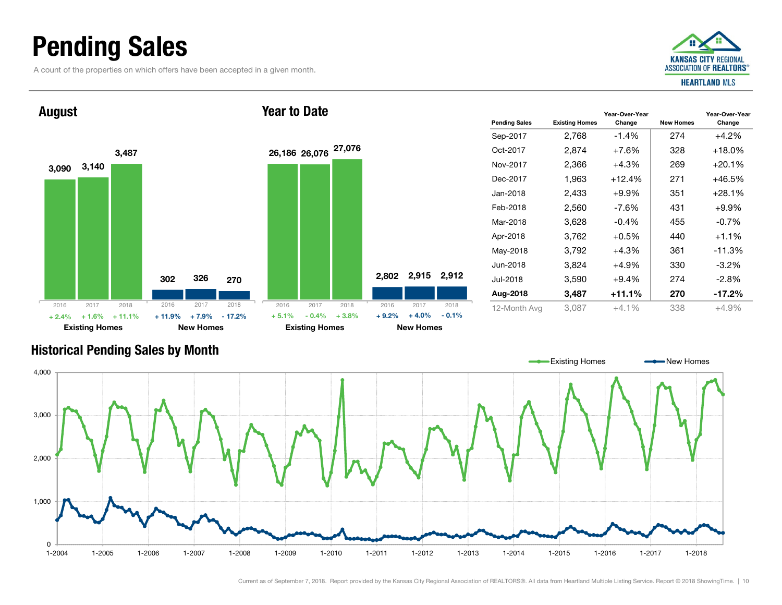## Pending Sales

A count of the properties on which offers have been accepted in a given month.



Year-Over-Year Change



#### Historical Pending Sales by Month

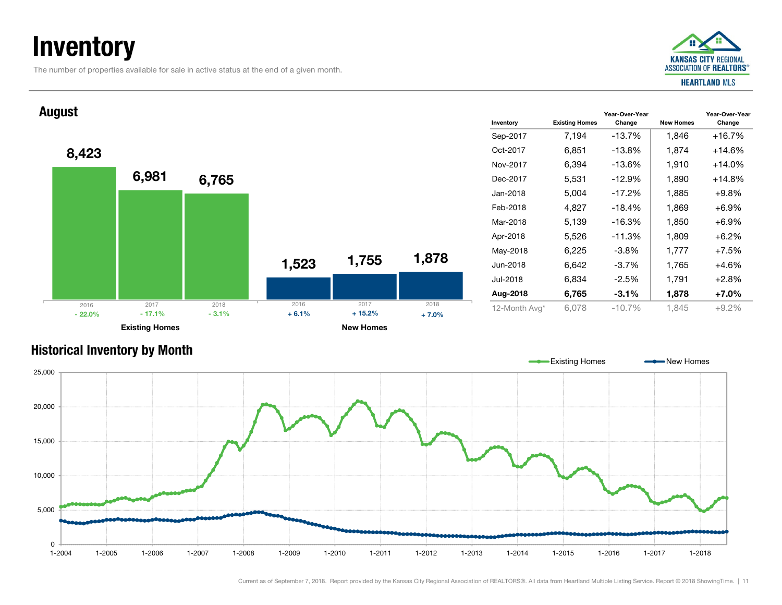## **Inventory**

The number of properties available for sale in active status at the end of a given month.



Year-Over-Year Change



#### Historical Inventory by Month

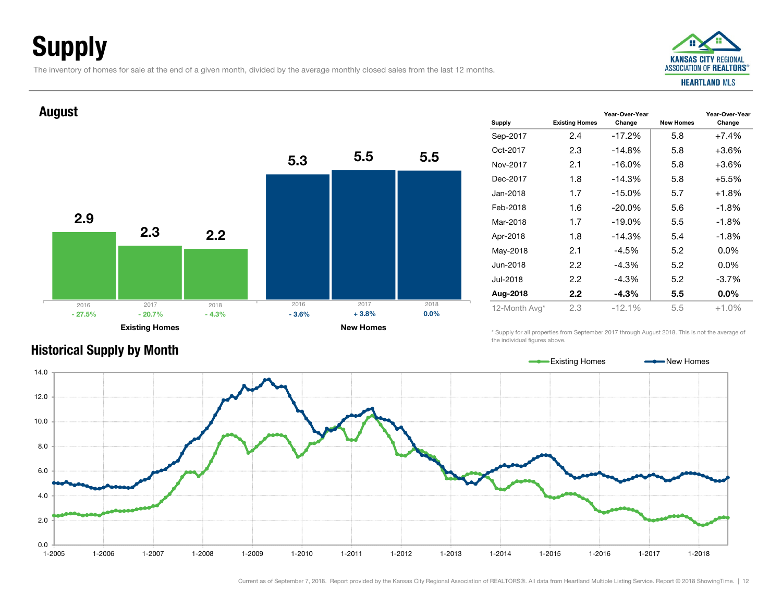# Supply

The inventory of homes for sale at the end of a given month, divided by the average monthly closed sales from the last 12 months.

Existing Homes New Homes



Change

#### Supply Existing Homes Year-Over-Year Change New Homes Year-Over-Year Sep-2017 2.4 -17.2% 5.8 +7.4% Oct-2017 2.3 -14.8% 5.8 +3.6%Nov-2017 2.1 -16.0% 5.8 +3.6%Dec-2017 1.8 -14.3% 5.8 +5.5%Jan-20181.7  $-15.0\%$  5.7  $+1.8\%$ Feb-2018 1.6 -20.0% 5.6 -1.8%Mar-2018 1.7 -19.0% 5.5 -1.8%Apr-2018 1.8 -14.3% 5.4 -1.8% May-2018 2.1 -4.5% 5.2 0.0% Jun-2018 2.2 -4.3% 5.2 0.0%Jul-2018 2.2 -4.3% 5.2 -3.7%Aug-2018 2.2 -4.3% 5.5 0.0% 12-Month Avg\* 2.3 -12.1% 5.5 +1.0% 2.95.32.35.52.25.5August 2016 2017 2018 $\%$  - 20.7% - 4.3% - 3.6%  $\%$  - 4.3% - 3.6% + 3.8% 0.0% 2016 2017 2018- 27.5%

\* Supply for all properties from September 2017 through August 2018. This is not the average of the individual figures above.



#### Historical Supply by Month

Current as of September 7, 2018. Report provided by the Kansas City Regional Association of REALTORS®. All data from Heartland Multiple Listing Service. Report © 2018 ShowingTime. | 12